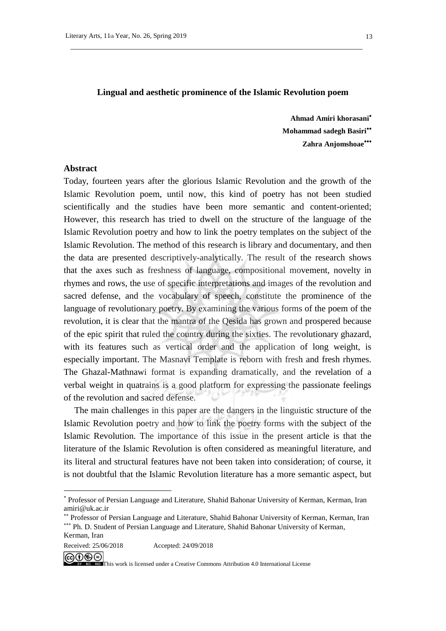#### **Lingual and aesthetic prominence of the Islamic Revolution poem**

 $\overline{\phantom{a}}$  ,  $\overline{\phantom{a}}$  ,  $\overline{\phantom{a}}$  ,  $\overline{\phantom{a}}$  ,  $\overline{\phantom{a}}$  ,  $\overline{\phantom{a}}$  ,  $\overline{\phantom{a}}$  ,  $\overline{\phantom{a}}$  ,  $\overline{\phantom{a}}$  ,  $\overline{\phantom{a}}$  ,  $\overline{\phantom{a}}$  ,  $\overline{\phantom{a}}$  ,  $\overline{\phantom{a}}$  ,  $\overline{\phantom{a}}$  ,  $\overline{\phantom{a}}$  ,  $\overline{\phantom{a}}$ 

**Ahmad Amiri khorasani**<sup>∗</sup> **Mohammad sadegh Basiri**∗∗ **Zahra Anjomshoae**∗∗∗

#### **Abstract**

<u>.</u>

Today, fourteen years after the glorious Islamic Revolution and the growth of the Islamic Revolution poem, until now, this kind of poetry has not been studied scientifically and the studies have been more semantic and content-oriented; However, this research has tried to dwell on the structure of the language of the Islamic Revolution poetry and how to link the poetry templates on the subject of the Islamic Revolution. The method of this research is library and documentary, and then the data are presented descriptively-analytically. The result of the research shows that the axes such as freshness of language, compositional movement, novelty in rhymes and rows, the use of specific interpretations and images of the revolution and sacred defense, and the vocabulary of speech, constitute the prominence of the language of revolutionary poetry. By examining the various forms of the poem of the revolution, it is clear that the mantra of the Qesida has grown and prospered because of the epic spirit that ruled the country during the sixties. The revolutionary ghazard, with its features such as vertical order and the application of long weight, is especially important. The Masnavi Template is reborn with fresh and fresh rhymes. The Ghazal-Mathnawi format is expanding dramatically, and the revelation of a verbal weight in quatrains is a good platform for expressing the passionate feelings of the revolution and sacred defense.

The main challenges in this paper are the dangers in the linguistic structure of the Islamic Revolution poetry and how to link the poetry forms with the subject of the Islamic Revolution. The importance of this issue in the present article is that the literature of the Islamic Revolution is often considered as meaningful literature, and its literal and structural features have not been taken into consideration; of course, it is not doubtful that the Islamic Revolution literature has a more semantic aspect, but

<sup>∗</sup> Professor of Persian Language and Literature, Shahid Bahonar University of Kerman, Kerman, Iran amiri@uk.ac.ir

<sup>∗∗</sup> Professor of Persian Language and Literature, Shahid Bahonar University of Kerman, Kerman, Iran ∗∗∗ Ph. D. Student of Persian Language and Literature, Shahid Bahonar University of Kerman, Kerman, Iran

This work is licensed under a Creative Commons Attribution 4.0 International License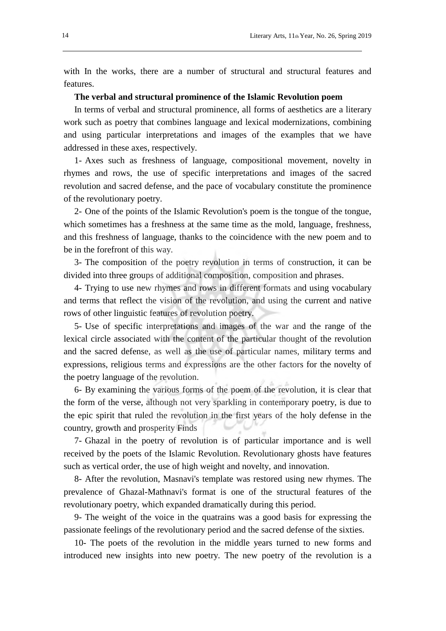with In the works, there are a number of structural and structural features and features.

#### **The verbal and structural prominence of the Islamic Revolution poem**

In terms of verbal and structural prominence, all forms of aesthetics are a literary work such as poetry that combines language and lexical modernizations, combining and using particular interpretations and images of the examples that we have addressed in these axes, respectively.

1- Axes such as freshness of language, compositional movement, novelty in rhymes and rows, the use of specific interpretations and images of the sacred revolution and sacred defense, and the pace of vocabulary constitute the prominence of the revolutionary poetry.

2- One of the points of the Islamic Revolution's poem is the tongue of the tongue, which sometimes has a freshness at the same time as the mold, language, freshness, and this freshness of language, thanks to the coincidence with the new poem and to be in the forefront of this way.

3- The composition of the poetry revolution in terms of construction, it can be divided into three groups of additional composition, composition and phrases.

4- Trying to use new rhymes and rows in different formats and using vocabulary and terms that reflect the vision of the revolution, and using the current and native rows of other linguistic features of revolution poetry.

5- Use of specific interpretations and images of the war and the range of the lexical circle associated with the content of the particular thought of the revolution and the sacred defense, as well as the use of particular names, military terms and expressions, religious terms and expressions are the other factors for the novelty of the poetry language of the revolution.

6- By examining the various forms of the poem of the revolution, it is clear that the form of the verse, although not very sparkling in contemporary poetry, is due to the epic spirit that ruled the revolution in the first years of the holy defense in the country, growth and prosperity Finds

7- Ghazal in the poetry of revolution is of particular importance and is well received by the poets of the Islamic Revolution. Revolutionary ghosts have features such as vertical order, the use of high weight and novelty, and innovation.

8- After the revolution, Masnavi's template was restored using new rhymes. The prevalence of Ghazal-Mathnavi's format is one of the structural features of the revolutionary poetry, which expanded dramatically during this period.

9- The weight of the voice in the quatrains was a good basis for expressing the passionate feelings of the revolutionary period and the sacred defense of the sixties.

10- The poets of the revolution in the middle years turned to new forms and introduced new insights into new poetry. The new poetry of the revolution is a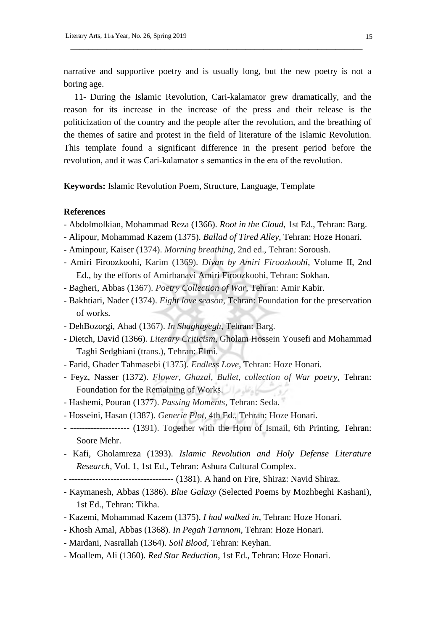narrative and supportive poetry and is usually long, but the new poetry is not a boring age.

 $\overline{\phantom{a}}$  ,  $\overline{\phantom{a}}$  ,  $\overline{\phantom{a}}$  ,  $\overline{\phantom{a}}$  ,  $\overline{\phantom{a}}$  ,  $\overline{\phantom{a}}$  ,  $\overline{\phantom{a}}$  ,  $\overline{\phantom{a}}$  ,  $\overline{\phantom{a}}$  ,  $\overline{\phantom{a}}$  ,  $\overline{\phantom{a}}$  ,  $\overline{\phantom{a}}$  ,  $\overline{\phantom{a}}$  ,  $\overline{\phantom{a}}$  ,  $\overline{\phantom{a}}$  ,  $\overline{\phantom{a}}$ 

11- During the Islamic Revolution, Cari-kalamator grew dramatically, and the reason for its increase in the increase of the press and their release is the politicization of the country and the people after the revolution, and the breathing of the themes of satire and protest in the field of literature of the Islamic Revolution. This template found a significant difference in the present period before the revolution, and it was Cari-kalamator s semantics in the era of the revolution.

**Keywords:** Islamic Revolution Poem, Structure, Language, Template

### **References**

- Abdolmolkian, Mohammad Reza (1366). *Root in the Cloud*, 1st Ed., Tehran: Barg.
- Alipour, Mohammad Kazem (1375). *Ballad of Tired Alley*, Tehran: Hoze Honari.
- Aminpour, Kaiser (1374). *Morning breathing*, 2nd ed., Tehran: Soroush.
- Amiri Firoozkoohi, Karim (1369). *Divan by Amiri Firoozkoohi*, Volume II, 2nd Ed., by the efforts of Amirbanavi Amiri Firoozkoohi, Tehran: Sokhan.
- Bagheri, Abbas (1367). *Poetry Collection of War*, Tehran: Amir Kabir.
- Bakhtiari, Nader (1374). *Eight love season*, Tehran: Foundation for the preservation of works.
- DehBozorgi, Ahad (1367). *In Shaghayegh*, Tehran: Barg.
- Dietch, David (1366). *Literary Criticism*, Gholam Hossein Yousefi and Mohammad Taghi Sedghiani (trans.), Tehran: Elmi.
- Farid, Ghader Tahmasebi (1375). *Endless Love*, Tehran: Hoze Honari.
- Feyz, Nasser (1372). *Flower, Ghazal, Bullet, collection of War poetry*, Tehran: Foundation for the Remaining of Works.
- Hashemi, Pouran (1377). *Passing Moments*, Tehran: Seda.
- Hosseini, Hasan (1387). *Generic Plot*, 4th Ed., Tehran: Hoze Honari.
- -------------------- (1391). Together with the Horn of Ismail, 6th Printing, Tehran: Soore Mehr.
- Kafi, Gholamreza (1393). *Islamic Revolution and Holy Defense Literature Research*, Vol. 1, 1st Ed., Tehran: Ashura Cultural Complex.
- ----------------------------------- (1381). A hand on Fire, Shiraz: Navid Shiraz.
- Kaymanesh, Abbas (1386). *Blue Galaxy* (Selected Poems by Mozhbeghi Kashani), 1st Ed., Tehran: Tikha.
- Kazemi, Mohammad Kazem (1375). *I had walked in*, Tehran: Hoze Honari.
- Khosh Amal, Abbas (1368). *In Pegah Tarnnom*, Tehran: Hoze Honari.
- Mardani, Nasrallah (1364). *Soil Blood*, Tehran: Keyhan.
- Moallem, Ali (1360). *Red Star Reduction*, 1st Ed., Tehran: Hoze Honari.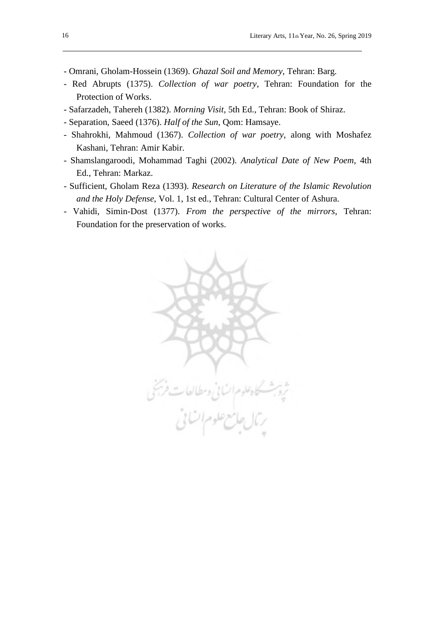- Omrani, Gholam-Hossein (1369). *Ghazal Soil and Memory*, Tehran: Barg.
- Red Abrupts (1375). *Collection of war poetry*, Tehran: Foundation for the Protection of Works.
- Safarzadeh, Tahereh (1382). *Morning Visit*, 5th Ed., Tehran: Book of Shiraz.
- Separation, Saeed (1376). *Half of the Sun*, Qom: Hamsaye.
- Shahrokhi, Mahmoud (1367). *Collection of war poetry*, along with Moshafez Kashani, Tehran: Amir Kabir.
- Shamslangaroodi, Mohammad Taghi (2002). *Analytical Date of New Poem*, 4th Ed., Tehran: Markaz.
- Sufficient, Gholam Reza (1393). *Research on Literature of the Islamic Revolution and the Holy Defense*, Vol. 1, 1st ed., Tehran: Cultural Center of Ashura.
- Vahidi, Simin-Dost (1377). *From the perspective of the mirrors*, Tehran: Foundation for the preservation of works.

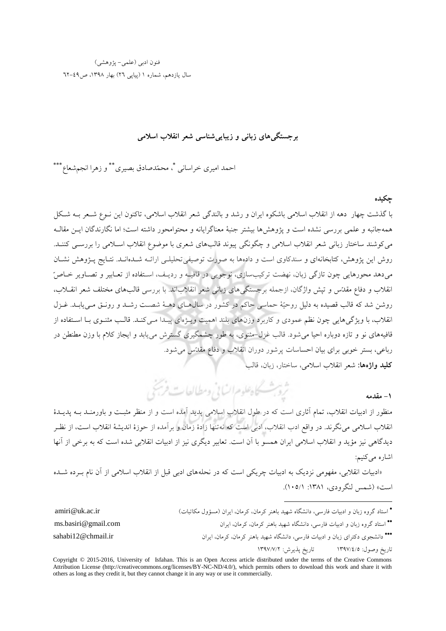# فنون ادبی )علمی- پژوهشی( سال یازدهم، شماره ١ (پیاپی ٢٦) بهار ١٣٩٨، ص41-٦٢

### **یباییزهایزبانیویبرجستگ شناسیشعرانقالباسالمی**

احمد امیری خراسانی \*، محمّدصادق بصیری\*\* و زهرا انجمشعاع\*\*\*

**چکيده**

با گذشت چهار دهه از انقالب اسالمی باشکوه ایران و رشد و بالندگی شعر انقالب اسالمی، تاکنون این نووع شوعر بوه شوک همهجانبه و علمی بررسی نشده است و پژوهشها بیشتر جنبة معناگرایانه و محتوامحور داشته است؛ اما نگارندگان ایون مقالوه میکوشند ساختار زبانی شعر انقلاب اسلامی و چگونگی پیوند قالبهای شعری با موضوع انقلاب اسـلامی را بررسـی کننـد. روش این پژوهش، کتابخانهای و سندکاوی است و دادهها به صورت توصیفی تحلیلهی ارائـه شــدهانــد. نتــایج پــژوهش نشــان می دهد محورهایی چون تازگی زبان، نهضت ترکیبسازی، نوجویی در قافیـه و ردیـف، اسـتفاده از تعباییر و تصباویر خیاص ّ انقلاب و دفاع مقدّس و تپش واژگان، ازجمله برجستگیهای زبانی شعر انقلاباند. با بررسی قالبهای مختلف شعر انقــلاب، روشن شد که قالب قصیده به دلیل روحیّهٔ حماسی حاکم در کشور در سال۵حای دهـهٔ شصـت رشـد و رونـق مـییابـد. غـزل انقلاب، با ویژگیهایی چون نظم عمودی و کاربرد وزنهای بلند اهمیت ویـژهای پیـدا مـیکنـد. قالـب مثنـوی بـا اسـتفاده از قافیههای نو و تازه دوباره احیا می شود. قالب غزل–مثنوی، به طور چشمگیری گسترش می یابد و ایجاز کلام با وزن مطنطن در رباعی، بستر خوبی برای بیان احساسات پرشور دوران انقالب و دفاع مقدّس شود یم

**کليدواژهها:**شعر انقالب اسالمی، ساختار، زبان، قالب

ثروبث كاهطوم السابي ومطالعات فريخي **-1 مقدمه**

1

منظور از ادبیات انقلاب، تمام آثاری است که در طول انقلاب اسلامی پدید آمده است و از منظر مثبـت و باورمنـد بــه پدیــدهٔ انقلاب اسلامی می نگرند. در واقع ادب انقلاب، ادبی است که نه تنها زادهٔ زمان و برآمده از حوزهٔ اندیشهٔ انقلاب است، از نظـر دیدگاهی نیز مؤید و انقلاب اسلامی ایران همسو با آن است. تعابیر دیگری نیز از ادبیات انقلابی شده است که به برخی از آنها اشاره می کنیم:

«ادبیات انقلابی، مفهومی نزدیک به ادبیات چریکی است که در نحلههای ادبی قبل از انقلاب اسلامی از آن نام بـرده شـده است» (شمس لنگرودی، ۱۳۸۱: ۱۰۵/۱).

• استاد گروه زبان و ادبیات فارسی، دانشگاه شهید باهنر کرمان، کرمان، ایران (مسؤول مکاتبات)<br>• استاد گروه زبان و ادبیات فارسی، دانشگاه شهید باهنر کرمان، کرمان، ایران (مسؤول مکاتبات) استاد گروه زبان و ادبیات فارسی، دانشگاه شهید باهنر کرمان، کرمان، ایران com.gmail@basiri.ms∗∗ ∗∗∗ دانشجوی دکترای زبان و ادبیات فارسی، دانشگاه شهید باهنر کرمان، کرمان، ایران ir.chmail@12sahabi تاریخ وصول: 1397/4/5 تاریخ پذیرش: 1397/7/2

Copyright © 2015-2016, University of Isfahan. This is an Open Access article distributed under the terms of the Creative Commons Attribution License (http://creativecommons.org/licenses/BY-NC-ND/4.0/), which permits others to download this work and share it with others as long as they credit it, but they cannot change it in any way or use it commercially.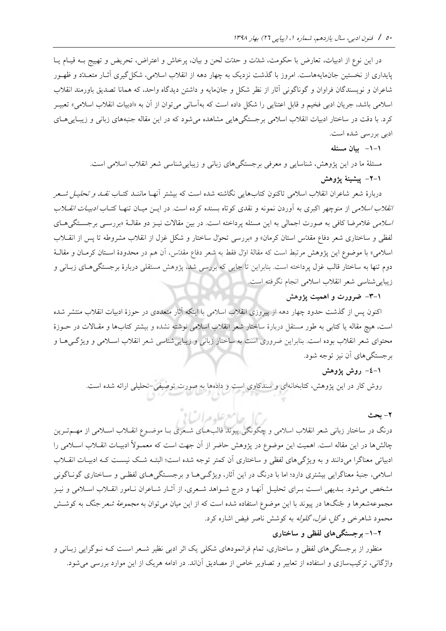در این نوع از ادبیات، تعارض با حکومت، شدّت و حدّت لحن و بیان، پرخاش و اعتراض، تحریض و تهییج بـه قیـام یـا پایداری از نخستین جان.ایههاست. امروز با گذشت نزدیک به چهار دهه از انقلاب اسلامی، شکل گیری آثـار متعـلدّد و ظهـور شاعران و نویسندگان فراوان و گوناگونی آثار از نظر شکل و جانمایه و داشتن دیدگاه واحد، که همانا تصدیق باورمند انقلاب اسلامی باشد، جریان ادبی فخیم و قابل اعتنایی را شکل داده است که بهآسانی می توان از آن به «ادبیات انقلاب اسلامی» تعبیـر کرد. با دقت در ساختار ادبیات انقلاب اسلامی برجستگی هایی مشاهده میشود که در این مقاله جنبههای زبانی و زیبایی های ادبی بررسی شده است

**-1-1 بيانمسئله**

مسئلهٔ ما در این پژوهش، شناسایی و معرفی برجستگیهای زبانی و زیباییشناسی شعر انقلاب اسلامی است.

**-2-1 پيشينةپژوهش**

دربارهٔ شعر شاعران انقلاب اسلامی تاکنون کتابهایی نگاشته شده است که بیشتر آنهـا ماننـد کتـاب *نقــد و تحليـل شــعر انقلاب اسلامی* از منوچهر اکبری به آوردن نمونه و نقدی کوتاه بسنده کرده است. در ایــن میــان تنهـا کتــاب *ادبیــات انقــلاب* ا*سلامی* غلامرضا کافی به صورت اجمالی به این مسئله پرداخته است. در بین مقالات نیـز دو مقالـهٔ «بررسـی برجسـتگی۵ـای لفظی و ساختاری شعر دفاع مقدّس استان کرمان» و «بررسی تحوّل ساختار و شکل غزل از انقلاب مشروطه تا پس از انقـلاب اسلامی» با موضوع این پژوهش مرتبط است که مقالهٔ اوّل فقط به شعر دفاع مقدّس، آن هم در محدودهٔ اسـتان کرمـان و مقالـهٔ دوم تنها به ساختار قالب غزل پرداخته است. بنابراین تا جایی که بررسی شد، پژوهش مستقلی دربارهٔ برجستگی هـای زبـانی و زیبایی شناسی شعر انقلاب اسلامی انجام نگرفته است.

**-3-1 ضرورتواهميتپژوهش**

اکنون پس از گذشت حدود چهار دهه از پیروزی انقالب اسالمی با اینکه آثار متعددی در حوز ادبیات انقالب منتشر شده است، هیچ مقاله یا کتابی به طور مستقل دربارهٔ ساختار شعر انقلاب اسلامی نوشته نشده و بیشتر کتابها و مقـالات در حـوزهٔ محتوای شعر انقلاب بوده است. بنابراین ضروری است به ساختار زبانی و زیبایی شناسی شعر انقلاب اسـلامی و ویژگـی۱مـا و برجستگیهای آن نیز توجه شود.

**-4-1 روشپژوهش**

روش کار در این پژوهش، کتابخانهای و سندکاوی است و دادهها به صورت توصیفی-تحلیلی ارائه شده است.

**-2 بحث**

درنگ در ساختار زبانی شعر انقلاب اسلامی و چگونگی پیوند قالب هـای شـعری بـا موضـوع انقــلاب اســلامی از مهــمتـرین چالشها در این مقاله است. اهمیت این موضوع در پژوهش حاضر از آن جهت است که معمـولاً ادبیـات انقــلاب اســلامی را ادبیاتی معناگرا میدانند و به ویژگی های لفظی و ساختاری آن کمتر توجه شده است؛ البتـه شـک نیسـت کـه ادبیـات انقــلاب اسلامی، جنبهٔ معناگرایی بیشتری دارد؛ اما با درنگ در این آثار، ویژگی هـا و برجسـتگی هـای لفظـی و سـاختاری گونـاگونی مشخص می شود. بــدیهی اسـت بــرای تحلیــل آنهــا و درج شــواهد شــعری، از آثــار شــاعران نــامور انقــلاب اســلامی و نیــز مجموعه شعرها و جُنگها در پیوند با این موضوع استفاده شده است که از این میان می توان به *مجموعهٔ شعر جنگ* به کوشش محمود شاهرخی و *گل، غزل، گلوله* به کوشش ناصر فیض اشاره کرد.

حامع عليده السال

# **-1-2 هایلفظیویبرجستگ ساختاری**

منظور از برجستگی های لفظی و ساختاری، تمام فرانمودهای شکلی یک اثر ادبی نظیر شـعر اسـت کـه نـوگرایی زبـانی و واژگانی، ترکیبسازی و استفاده از تعابیر و تصاویر خاص از مصادیق آناند. در ادامه هریک از این موارد بررسی می شود.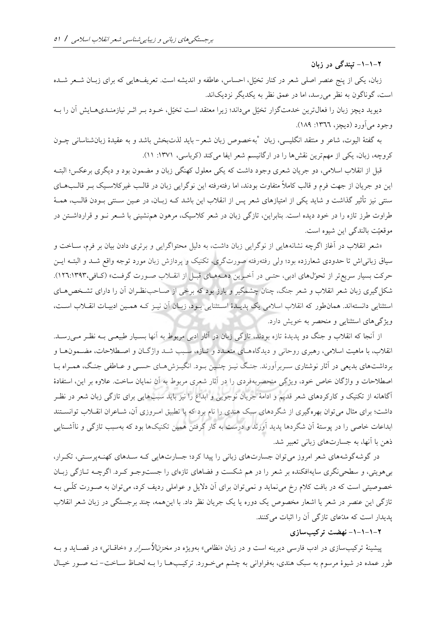**-1-1-2 تپندگیدرزبان**

زبان، یکی از پنج عنصر اصلی شعر در کنار تخیّل، احساس، عاطفه و اندیشه است. تعریفهایی که برای زبـان شــعر شــده است، گوناگون به نظر می رسد، اما در عمق نظر به یکدیگر نزدیکاند.

دیوید دیچز زبان را فعالترین خدمتگزار تخیّل میداند؛ زیرا معتقد است تخیّل، خــود بــر اثــر نیازمنــدیهــایش آن را بــه وجود می آورد (دیچز، ۱۳٦٦: ۱۸۹).

به گفتة الیوت، شاعر و منتقد انگلیسی، زبان ˚ زبان شعر خصو به - لذتباید بخش باشد و به عقید زبانشناسانی چوون کروچه، زبان، یکی از مهم ترین نقشها را در ارگانیسم شعر ایفا میکند (کرباسی، ۱۳۷۱: ۱۱).

قبل از انقلاب اسلامی، دو جریان شعری وجود داشت که یکی معلول کهنگی زبان و مضمون بود و دیگری برعکس؛ البتــه این دو جریان از جهت فرم و قالب کاملاً متفاوت بودند، اما رفتهرفته این نوگرایی زبان در قالـب غیرکلاسـیک بـر قالـبهــای سنتی نیز تأثیر گذاشت و شاید یکی از امتیازهای شعر پس از انقلاب این باشد کــه زبــان، در عــین ســنتی بــودن قالــب، همــهٔ طراوت طرز تازه را در خود دیده است. بنابراین، تازگی زبان در شعر کلاسیک، مرهون همهنشینی با شـعر نـو و قرارداشـتن در موقعیّت بالندگی این شیوه است

«شعر انقلاب در آغاز اگرچه نشانههایی از نوگرایی زبان داشت، به دلیل محتواگرایی و برتری دادن بیان بر فرم، ســاخت و سیاق زبانی اش تا حدودی شعارزده بود؛ ولی رفتهرفته صورتگری، تکنیک و پردازش زبان مورد توجه واقع شـد و البتــه ایــن حرکت بسیار سریع تر از تحوّلهای ادبی، حتـی در آخـرین دهـههـای قبـل از انقــلاب صـورت گرفـت» (کـافی،١٢٩٣:١٣٩٣). شکل گیری زبان شعر انقلاب و شعر جنگ، چنان چشمگیر و بارز بود که برخی از صـاحب نظـران آن را دارای تشـخص هـای استثنایی دانستهاند. همان طور که انقلاب اسلامی یک پدیـدهٔ اسـتثنایی بـود، زبـان آن نیـز کـه همـین ادبیـات انقـلاب اسـت، ویژگی های استثنایی و منحصر به خویش دارد.

از آنجا که انقلاب و جنگ دو پدیدهٔ تازه بودند، تازگی زبان در آثار ادبی مربوط به آنها بسـیار طبیعـی بــه نظـر مــی(ســد. انقلاب، با ماهیت اسلامی، رهبری روحانی و دیدگاههـای متعـدد و تـازه، سـبب شـد واژگـان و اصـطلاحات، مضـمونهـا و برداشتهای بدیعی در آثار نوشتاری سـربرآورند. جنگ نیـز چنـین بـود. انگیـزش هـای حسـی و عـاطفی جنـگ، همـراه بـا اصطلاحات و واژگان خاص خود، ویژگی منحصربهفردی را در آثار شعری مربوط به آن نمایان ساخت. علاوه بر این، استفادهٔ هایی برای آگاهانه از تکنیک و کارکردهای شعر قدیم و ادامة جریان نوجویی و ابداع را نی باید سبب تازگی زبان شعر در نظور داشت؛ برای مثال می توان بهره گیری از شگردهای سبک هندی را نام برد که با تطبیق امـروزی آن، شــاعران انقــلاب توانســتند ابداعات خاصی را در پوستهٔ آن شگردها پدید آورند و درست به کار گرفتن همین تکنیکها بود که بهسبب تازگی و ناآشـنایی ذهن با آنها، به جسارتهای زبانی تعبیر شد.

در گوشه گوشههای شعر امروز می توان جسارت های زبانی را پیدا کرد؛ جسارت هایی کـه سـدهای کهنـهپرسـتی، تکـرار، بیهویتی، و سطحی نگری سایه افکنده بر شعر را در هم شکست و فضاهای تازهای را جستوجـو کـرد. اگرچـه تـازگی زبـان خصوصیتی است که در بافت کلام رخ می نماید و نمی توان برای آن دلایل و عواملی ردیف کرد، می توان به صـورت کلّـی بــه تازگی این عنصر در شعر یا اشعار مخصو یک دوره یا یک جریان نظر داد با اینهمه، چند برجستگی در زبان شعر انقالب کنند پدیدار است که مدّعای تازگی آن را اثبات می

## **-1-1-1-2 نهضت ترک سازی يب**

پیشینهٔ ترکیبسازی در ادب فارسی دیرینه است و در زبان «نظامی» بهویژه در *مخزنالأسرار* و «خاقـانی» در قصـاید و بــه طور عمده در شیوهٔ مرسوم به سبک هندی، بهفراوانی به چشم میخورد. ترکیبها را بـه لحـاظ سـاخت- نـه صـور خیـال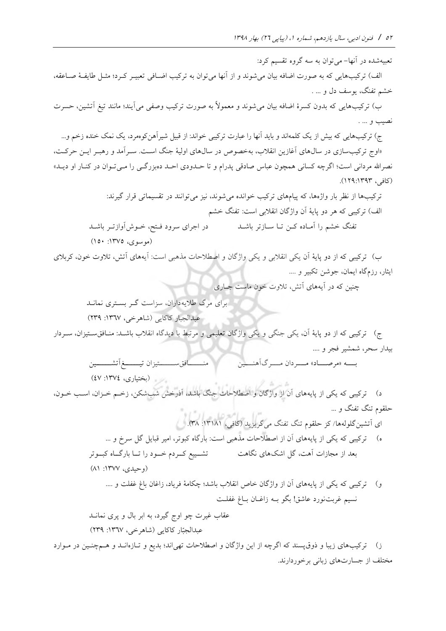تعبیهشده در آنها– می توان به سه گروه تقسیم کرد:

الف) ترکیبهایی که به صورت اضافه بیان میشوند و از آنها می توان به ترکیب اضـافی تعبیـر کـرد؛ مثـل طایفـهٔ صـاعقه، خشم تفنگ، یوسف دل و … .

ب) ترکیبهایی که بدون کسرهٔ اضافه بیان می شوند و معمولاً به صورت ترکیب وصفی می آیند؛ مانند تیغ آتشین، حسرت نصیب و

ج) ترکیبهایی که بیش از یک کلمه اند و باید آنها را عبارت ترکیبی خواند: از قبیل شیرآهن کوهمرد، یک نمک خنده زخم و… «اوج ترکیبسازی در سال۵عای آغازین انقلاب، بهخصوص در سال۵ای اولیهٔ جنگ است. سـرآمد و رهبـر ایــن حرکــت، نصرالله مردانی است؛ اگرچه کسانی همچون عباس صادقی پدرام و تا حــدودی احــد دهبزرگــی را مــیتــوان در کنــار او دیــد» )کافی، 129:1393(

> ترکیبها از نظر بار واژهها، که پیامهای ترکیب خوانده می شوند، نیز می توانند در تقسیماتی قرار گیرند: الف) ترکیبی که هر دو پایهٔ آن واژگان انقلابی است: تفنگ خشم

تفنگ خشم را آمـاده کـن تـا ســازتر باشــد در اجرای سرود فــتح، خــوش[وازتــر باشــد

)موسوی، :1375 150(

ب) ترکیبی که از دو پایهٔ آن یکی انقلابی و یکی واژگان و اصطلاحات مذهبی است: آیههای آتش، تلاوت خون، کربلای ایثار، رزمگاه ایمان، جوشن تکبیر و ....

چنین که در آیههای آتش، تالوت خون ماست جواری

برای مرگ طالیهداران، س است گور بسوتری نمانود عبدالجبار کاکایی )شاهرخی، :1367 239(

ج) ترکیبی که از دو پایهٔ آن، یکی جنگی و یکی واژگان تعلیمی و مرتبط با دیدگاه انقلاب باشـد: منـافقسـتیزان، سـردار بیدار سحر، شمشیر فجر و

> بسه «مرصــاد» مــــردان مــــرگ1َهنــــين منــــــــــــافقســــــــتيزان تيـــــــــغ1َتشـــــــــين )بختیاری، :1374 47(

د) ترکیبی که یکی از پایههای آن از واژگان و اصطلاحات جنگ باشد، آذرخش شبشکن، زخـم خـزان، اسـب خــون، حلقوم تنگ تفنگ و  $N^2$   $(1 - 10\pi)^2$   $N^2$ 

آتشای ینگل وله گری ید )کافی، ها/ ک حلقوم تنگ تفنگ می :13181 38( ( ه ترکیبی که یکی از پایههای آن از اصطالحات مذهبی است: بارگاه کبوتر، امیر قبای گ سرخ و بعد از مجازات آهت، گ اشکهای نگاهت تشووییع کووردم خووود را تووا بارگوواه کبوووتر

(وحیدی، ۱۳۷۷: ۸۱)

و) ترکیبی که یکی از پایههای آن از واژگان خاص انقلاب باشد؛ چکامهٔ فریاد، زاغان باغ غفلت و …. نسیم غربتنورد عاشق! بگو بـه زاغـان بــاغ غفلــت

عقاب غیرت چو اوج گیرد، به ابر بال و پری نمانــد عبدالجبّار کاکایی (شاهرخی، ۱۳٦۷: ۲۳۹)

ز) ترکیبهای زیبا و ذوقپسند که اگرچه از این واژگان و اصطلاحات تهیاند؛ بدیع و تـازهانــد و هــمچنــین در مــوارد مختلف از جسارتهای زبانی برخوردارند.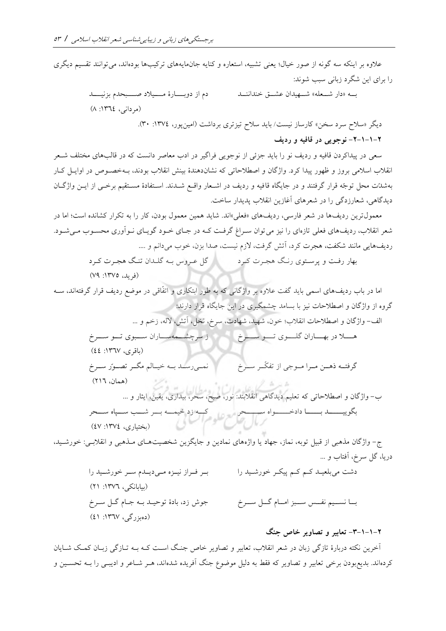علاوه بر اینکه سه گونه از صور خیال؛ یعنی تشبیه، استعاره و کنایه جان0ایههای ترکیبها بودهاند، میتوانند تقسیم دیگری را برای این شگرد زبانی سبب شوند:

> به «دار شعله» شهیدان عشــق خنداننــد مسمع دم از دوبـــارهٔ مــــیلاد صــــبحدم بزنیــــد )مردانی، :1364 8(

»دیگر سالح سرد سخن« کارساز نیست/ باید سالح تی تری برداشت )ام پور، ین :1374 30(

**-2-1-1-2 نوجوییدرقافيهوردیف**

سعی در پیداکردن قافیه و ردیف نو را باید جزئی از نوجویی فراگیر در ادب معاصر دانست که در قالبهای مختلف شــعر انقلاب اسلامی بروز و ظهور پیدا کرد. واژگان و اصطلاحاتی که نشان دهندهٔ بینش انقلاب بودند، بـهخصـوص در اوایـل کـار بهشدّت محل توجّه قرار گرفتند و در جایگاه قافیه و ردیف در اشـعار واقـع شـدند. اسـتفادهٔ مسـتقیم برخـی از ایــن واژگــان دیدگاهی، شعارزدگی را در شعرهای آغازین انقلاب پدیدار ساخت.

معمول ترین ردیفها در شعر فارسی، ردیفهای «فعلی»اند. شاید همین معمول بودن، کار را به تکرار کشانده است؛ اما در شعر انقلاب، ردیفهای فعلی تازهای را نیز می توان سـراغ گرفـت کـه در جـای خـود گویـای نـوآوری محسـوب مـیشـود. ردیفهایی مانند شکفت، هجرت کرد، آتش گرفت، لازم نیست، صدا بزن، خوب می دانم و ….

بهار رفوت و پرسوتوی رنوگ هجورت کورد گ عوروس بوه گلودان تنوگ هجورت کورد )فرید، :1375 79(

اما در باب ردیفهای اسمی باید گفت علاوه بر واژگانی که به طور ابتکاری و اتفّاقی در موضع ردیف قرار گرفتهاند، ســه گروه از واژگان و اصطالحات نی با بسامد چشمگیری در این جایگاه قرار دارند:

ال - واژگان و اصطالحات انقالب؛ خون، شهید، شهادت، سرخ، نخ ، آتش، الله، زخم و

هسلا در بهساران کلسوی تسو سسوخ میستواران سازان سووی تسو سسوخ  $(22 \cdot 1177)$  (باقری، ۱۳٦۷)

گرفتــه ذهــن مـــرا مــوجی از تفکّــر ســـرخ و نمعی رسمد بـه خیمالم مگـر تصـورّ سـرخ )همان، 216(  $\mathcal{L}_{\mathcal{F}}$  of  $\mathcal{F}$  and  $\mathcal{F}$  and  $\mathcal{F}$  and  $\mathcal{F}$ 

ب- واژگان و اصط الحاتی که تعلیم دیدگاهی انقالبند: نور، صب،، سحر، بیداری، یقین، ایوار و بگوییووووود بوووووا دادخوووووواه سوووووحر کوووه زد خیمووه بووور شووب سووپاه سوووحر )بختیاری، :1374 47(

ج- واژگان مذهبی از قبیل توبه، نماز، جهاد یا واژههای نمادین و جایگزین شخصیتهای ملفهبی و انقلابسی: خورشـید، دریا، گل سرخ، آفتاب و …

> دشت میبلعیـد کـم کـم پیکـر خورشـید را بسا نسسیم نفسس سسبز امسام گسل سسرخ بر فراز نیزه میدیدم سر خورشید را )بیابانکی، :1376 21( جوش زد، بادهٔ توحیـد بـه جـام گـل سـرخ (دەبزرگى، ١٣٦٧: ٤١)

## **-3-1-1-2 تعابيروتصاویرخاصجنگ**

آخرین نکته دربارهٔ تازگی زبان در شعر انقلاب، تعابیر و تصاویر خاص جنگ است کـه بـه تـازگی زبـان کمـک شـایان کردهاند. بدیعبودن برخی تعابیر و تصاویر که فقط به دلیل موضوع جنگ آفریده شدهاند، هـر شـاعر و ادیبـی را بـه تحسـین و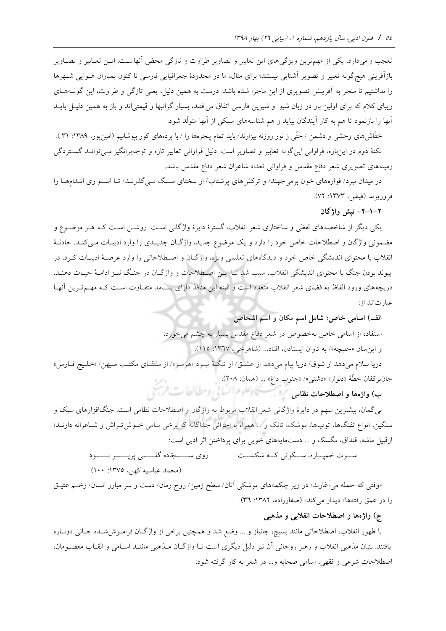تعجب وامی دارد. یکی از مهم ترین ویژگی های این تعابیر و تصاویر طراوت و تازگی محض آنهاست. ایــن تعــابیر و تصــاویر بازآفرینی هیچگونه تعبیر و تصویر آشنایی نیستند؛ برای مثال، ما در محدودهٔ جغرافیایی فارسی تا کنون بمباران هـوایی شـهرها را نداشتیم تا منجر به آفرینش تصویری از این ماجرا شده باشد. درست به همین دلیل، یعنی تازگی و طراوت، این گونــههـای زیبای کلام که برای اولین بار در زبان شیوا و شیرین فارسی اتفاق میافتند، بسیار گرانبها و قیمتیاند و باز به همین دلیـل بایــد آنها را بازنمود تا هم به کار آیندگان بیاید و هم شناسههای سبکی از آنها متولید شود

خفّاش های وحشی و دشمن / حتّی ز نور روزنه بیزارند/ باید تمام پنجرهها را / با پردههای کور بپوشانیم (امین پور، ۱۳۸۹: ۳۱ ). نکتهٔ دوم در اینباره، فراوانی اینگونه تعابیر و تصاویر است. دلیل فراوانی تعابیر تازه و توجهبرانگیز مـی توانـد گســتردگی زمینههای تصویری شعر دفاع مقدس و فراوانی تعداد شاعران شعر دفاع مقدس باشد

در میدان نبرد/ فوارههای خون برمیجهند/ و ترکش های پرشتاب/ از سختای سـنگ مـی گذرنــد/ تـا اسـتواری انــدامهــا را فروری ند )فیض، :1373 72(

**-2-1-2 واژگانتپش**

یکی دیگر از شاخصههای لفظی و ساختاری شعر انقلاب، گسترهٔ دایرهٔ واژگانی است. روشـن اسـت کـه هـر موضـوع و مضمونی واژگان و اصطلاحات خاص خود را دارد و یک موضوع جدید، واژگـان جدیـدی را وارد ادبیـات مـی کنـد. حادثـهٔ انقلاب با محتوای اندیشگی خاص خود و دیدگاههای تعلیمی ویژه، واژگـان و اصـطلاحاتی را وارد عرصـهٔ ادبیـات کـرد. در پیوند بودن جنگ با محتوای اندیشگی انقلاب، سبب شد تـا ایــن اصــطلاحات و واژگــان در جنـگ نیــز ادامـهٔ حیــات دهنــد. دریچههای ورود الفاظ به فضای شعر انقلاب متعدد است و البته این منافذ دارای بسـامد متفـاوت اسـت کـه مهــم تــرین آنهـا عبارتاند از:

الف) اسامی خاص؛ شامل اسم مکان و اسم اشخاص

استفاده از اسامی خاص بهخصوص در شعر دفاع مقدس بسیار به چشم می خورد:

و این سان «حلبچه»/ به تاوان ایستادن، افتاد... (شاهرخی، ١٣٦٧: ١١٥).

دریا سلام میدهد از شوق/ دریا پیام میدهد از عشـق/ از تنگـهٔ نبـرد «هرمـز»/ از ملتقـای مکتـب مـیهن/ «خلـیج فـارس» جانبركفان خطّة «دلوار» «دشتى»/ «جنوب داغ» … (همان: ٢٠٨).

**ب(واژههاواصطالحاتنظامی**

بی گمان، بیشترین سهم در دایرهٔ واژگانی شعر انقلاب مربوط به واژگان و اصطلاحات نظامی است. جنگافزارهای سبک و سنگین، انواع تفنگها، توپها، موشک، تانک و … همراه با اجزائی جداگانه که برخی نـامی خـوش تـراش و شـاعرانه دارنـد؛ ازقبیل ماشه، قنداق، مگسک و ... دستمایههای خوبی برای پرداختن اثر ادبی است:

> سوت خمپاره، سبکوتی ک) شکسیت میسازوی سیسسجّاده گلسسی پرپسسر بیسود )محمد عباسیه کهن، :1375 100(

«وقتی که حمله میآغازند/ در زیر چکمههای موشکی آنان/ سطح زمین/ روح زمان/ دست و سر مبارز انسان/ زخـم عتیــق را در عمق رفتهها/ دیدار میکند» (صفارزاده، ۱۳۸۲: ۳٦).

### ج) واژهها و اصطلاحات انقلابی و مذهب<u>ی</u>

با ظهور انقلاب، اصطلاحاتی مانند بسیج، جانباز و … وضع شد و همچنین برخی از واژگـان فرامـوش'سده جـانی دوبـاره یافتند. بنیان مذهبی انقلاب و رهبر روحانی آن نیز دلیل دیگری است تـا واژگـان مـذهبی ماننـد اسـامی و القـاب معصـومان، اصطالحات شرعی و فقهی، اسامی صحابه و در شعر به کار گرفته شود: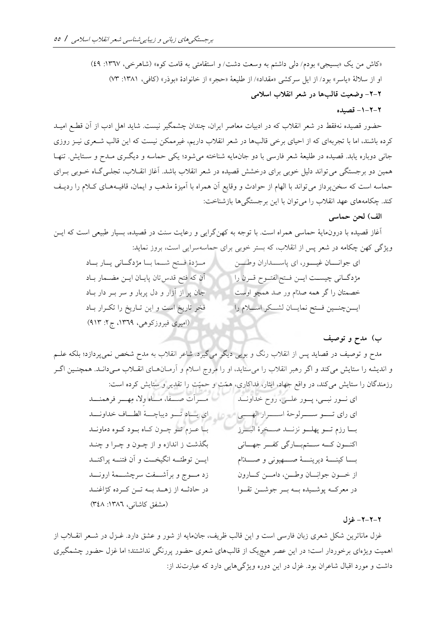«کاش من یک «بسیجی» بودم/ دلی داشتم به وسعت دشت/ و استقامتی به قامت کوه» (شاهرخی، ۱۳٦۷: ٤٩) او از سلالهٔ «ياسر» بود/ از ايل سركشي «مقداد»/ از طليعهٔ «حجر» از خانوادهٔ «بوذر» (كافي، ١٣٨١: ٧٣) **-2-2 وضعيتقالب هادرشعرانقالباسالمی**

### **-1-2-2 قصيده**

حضور قصیده نهفقط در شعر انقلاب که در ادبیات معاصر ایران، چندان چشمگیر نیست. شاید اهل ادب از آن قطـع امیــد کرده باشند، اما با تجربهای که از احیای برخی قالبها در شعر انقلاب داریم، غیرممکن نیست که این قالب شـعری نیــز روزی جانی دوباره یابد. قصیده در طلیعهٔ شعر فارسی با دو جانهایه شناخته میشود؛ یکی حماسه و دیگری مـدح و سـتایش. تنهـا همین دو برجستگی می تواند دلیل خوبی برای درخشش قصیده در شعر انقلاب باشد. آغاز انقـلاب، تجلـی گـاه خــوبی بــرای حماسه است که سخن پرداز می تواند با الهام از حوادث و وقایع آن همراه با آمیزهٔ مذهب و ایمان، قافیـههـای کـلام را ردیـف کند. چکامههای عهد انقلاب را می توان با این برجستگی ها بازشناخت:

الف) لحن حماس*ی* 

آزاز قصیده با درونمایة حماسی همراه است با توجه به کهنگرایی و رعایت سنت در قصیده، بسیار طبیعی است که ایون ویژگی کهن چکامه در شعر پس از انقالب، که بستر خوبی برای حماسهسرایی است، بروز نماید:

| مؤدة فتح شما با مؤدكاني يار باد             | ای جوانسان غیسور، ای پاسـمداران وطـــن       |
|---------------------------------------------|----------------------------------------------|
| آن كه فتح قدستان پايان ايـن مضـمار باد      | مژدگانی چیست ایس فتح الفتوح قـرن را          |
| جان پر از آزار و دل پربار و سر بـر دار بـاد | خصمتان را گر همه صدام ور صد همچو اوست        |
| فخر تاریخ است و این تـاریخ را تکـرار بـاد   | ايــنچنــين فــتح نمايــان لشــكر اســلام را |
| (امیری فیروزکوهی، ۱۳۶۹، ج۲: ۹۱۳)            |                                              |

#### **(ب مدحوتوصيف**

مدح و توصیف در قصاید پس از انقلاب رنگ و بویی دیگر می گیرد. شاعر انقلاب به مدح شخص نمی $\mathfrak{g}_\text{c}$ د؛ بلکه علــم و اندیشه را ستایش میکند و اگر رهبر انقلاب را می ستاید، او را مروج اسلام و آرمـانهـای انقــلاب مـیدانـد. همچنـین اگــر رزمندگان را ستایش میکند، در واقع جهاد، ایوار، فداکاری، همّت و حمیّت را تقدیر و ستایش کرده است:

| مسرأت صفا، ماه ولا، مِهسر فرهمنسد                | ای نور نسی، پور علمی، روح خداونید                         |
|--------------------------------------------------|-----------------------------------------------------------|
| اي يـاد تـو ديباچـــهٔ الطــاف خداونـــد         | اي راي تسو سولوحة اسرار الهمي                             |
| با عـزم تـو چـون كـاه بـود كـوه دماونـد          | بسا رزم تسو پهلسو نزنسد صنخرهٔ البسرز                     |
| بگذشت ز اندازه و از چــون و چــرا و چنــد        | اکنون کــه ســتمبــارگی کفــر جهــانی                     |
| ایـــن توطئـــه انگیخـــت و آن فتنـــه پراکنـــد | بــــا كينـــــهٔ ديرينـــــهٔ صـــــهيونـي و صــــــدّام |
| زد مـــوج و برأشــــفت سرچشــــمهٔ ارونــــد     | از خـــون جوانِـــان وطـــن، دامـــن كـــارون             |
| در حادثــه از زهــد بــه تــن كــرده كژاغنــد    | در معرکــه پوشــیده بــه بــر جوشــن تقــوا               |
| (مشفق كاشانى، ١٣٨٦: ٣٤٨)                         |                                                           |

#### **-2-2-2 غزل**

غزل ماناترین شکل شعری زبان فارسی است و این قالب ظریف، جانمایه از شور و عشق دارد. غــزل در شــعر انقــلاب از اهمیت ویژهای برخوردار است؛ در این عصر هیچ یک از قالبهای شعری حضور پررنگی نداشتند؛ اما غزل حضور چشمگیری داشت و مورد اقبال شاعران بود. غزل در این دوره ویژگی هایی دارد که عبارتند از: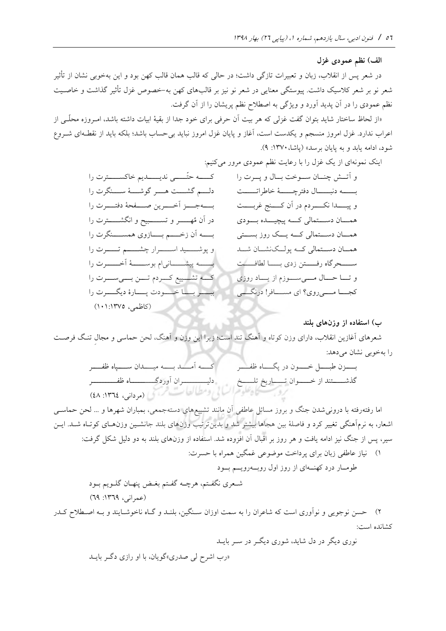الف) نظم عمودی غزل

را بهخوبی نشان میدهد:

در شعر پس از انقلاب، زبان و تعبیرات تازگی داشت؛ در حالی که قالب همان قالب کهن بود و این بهخوبی نشان از تأثیر شعر نو بر شعر کلاسیک داشت. پیوستگی معنایی در شعر نو نیز بر قالبهای کهن به-خصوص غزل تأثیر گذاشت و خاصـیت نظم عمودی را در آن پدید آورد و ویژگی به اصطلاح نظم پریشان را از آن گرفت.

«از لحاظ ساختار شاید بتوان گفت غزلی که هر بیت آن حرفی برای خود جدا از بقیهٔ ابیات داشته باشد، امـروزه محلّــی از اعراب ندارد. غزل امروز منسجم و یکدست است، آغاز و پایان غزل امروز نباید بی حساب باشد؛ بلکه باید از نقطـهای شــروع شود، ادامه یابد و به پایان برسد» (پاشا، ۱۳۷۰: ۹).

 اینک نمونه کنیم: ای از یک ز ل را با رعایت نظم عمودی مرور می و آتووش چنووان سوووخت بووال و پوورت را بوووووه دنبوووووال دفترچوووووة خاطراتوووووت و پیوووودا نکووووردم در آن کوووون زربووووت هموووان دسوووتمالی کوووه پیچیوووده بوووودی هموووان دسوووتمالی کوووه یوووک روز بسوووتی همووان دسووتمالی کووه پولووکنشووان شوود سووووحرگاه رفووووتن زدی بووووا لطافووووت و توووا حوووال موووی سووووزم از یووواد روزی کجوووا مووویروی؟ ای مسوووافر! درنگوووی کووووه حتیووووی ندیوووودیم خاکسووووترت را دلوووم گشوووت هووور گوشوووة سووونگرت را بوووهجووو آخووورین صوووفحة دفتووورت را در آن مُهوووور و تسووووبی، و انگشووووترت را بووووه آن زخووووم بووووازوی همسوووونگرت را و پوشوووووید اسووووورار چشوووووم تووووو رت را بوووووه پیشوووووانی ام بوسوووووة آخووووورت را کوووه تشوووییع کوووردم تووون بوووی سووورت را ببوووور بووووا خووووودت پووووار دیگوووورت را )کاومی، 101:1375(

**هایبلند ب(استفادهازوزن** شعرهای آزازین انقالب، دارای وزن کوتاه و آهنگ تند است؛ زیرا این وزن و آهنگ، لحن حماسی و مجالف تنو گ فرصوت

بوووو ن طبوووو خووووون در پگوووواه وفوووور گذشووووتند از خوووووان توووواریخ تلووووخ کووووه آموووود بووووه میوووودان سووووپاه وفوووور دلیوووووووووران آوردگووووووووواه وفووووووووور )مردانی، :1364 48(

 $\frac{1}{2}$ 

اما رفتهرفته با درونی شدن جنگ و بروز مسائل عاطفی آن مانند تشییع های دستهجمعی، بمباران شهرها و … لحن حماســی اشعار، به نرمآهنگی تغییر کرد و فاصلهٔ بین هجاها بیشتر شد و بدین ترتیب وزنهای بلند جانشـین وزنهـای کوتـاه شـد. ایــن سیر، پس از جنگ نیز ادامه یافت و هر روز بر اقبال آن افزوده شد. استفاده از وزنهای بلند به دو دلیل شکل گرفت: (1 نیاز عاطفی زبان برای پرداخت موضوعی زمگین همراه با حسرت:

طومووار درد کهنووه ای از روز اول روبووهرویووم بووود شوعری نگفوتم، هرچوه گفوتم بغوض پنهوان گلوویم بوود )عمرانی، :1369 69( (2 حسن نوجویی و نوآوری است که شاعران را به سمت اوزان سونگین، بلنود و گواه ناخوشوایند و بوه اصوطالح کودر کشانده است: نوری دیگر در دل شاید، شوری دیگور در سور بایود

»رب اشرح لی صدری«گویان، با او رازی دگور بایود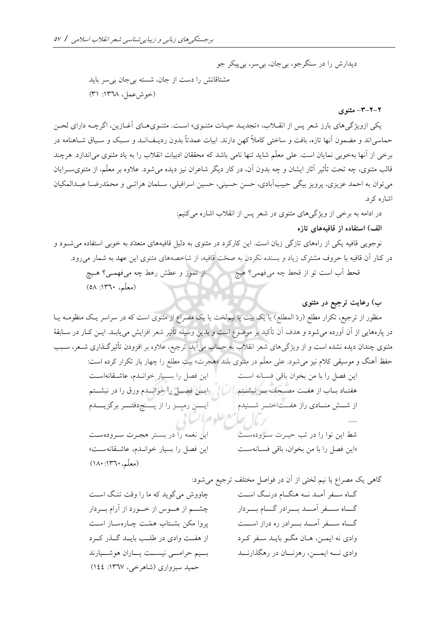دیدارش را در سنگرجو، بیجان، بیسر، بیپیکر جو مشتاقانش را دست از جان، شسته بیجان بیسر باید (خوش عمل، ١٣٦٨: ٣١)

**-3-2-2 مثنوی**

یکی ازویژگی های بارز شعر پس از انقـلاب، «تجدیـد حیـات مثنـوی» اسـت. مثنـوی هـای آغـازین، اگرچـه دارای لحـن حماسی اند و مضمون آنها تازه، بافت و ساختی کاملاً کهن دارند. ابیات عمدتاً بدون ردیـف|نــد و سـبک و ســیاق شــاهنامه در برخی از آنها بهخوبی نمایان است. علی معلّم شاید تنها نامی باشد که محققان ادبیات انقلاب را به یاد مثنوی می|ندازد. هرچند قالب مثنوی، چه تحت تأثیر آثار ایشان و چه بدون آن، در کار دیگر شاعران نیز دیده می شود. علاوه بر معلّم، از مثنوی سـرایان می توان به احمد عزیزی، پرویز بیگی حبیبآبادی، حسن حسینی، حسین اسرافیلی، سـلمان هراتـبی و محمّدرضـا عبـدالمکیان اشاره کرد

> در ادامه به برخی از ویژگی های مثنوی در شعر پس از انقلاب اشاره میکنیم: **هایتازه الف(استفادهازقافيه**

نوجویی قافیه یکی از راههای تازگی زبان است. این کارکرد در مثنوی به دلیل قافیههای متعدّد به خوبی استفاده می شـود و در کنار آن قافیه با حروف مشترک زیاد و بسنده نکردن به صحّت قافیه، از شاخصههای مثنوی این عهد به شمار می رود.

قحط آب است تو از قحط چه میفهمی؟ هیچ از تموز و عطش رهط چه میفهموی؟ هویچ (معلّم، ١٣٦٠: ٥٨)

**ب(رعایتترجيعدرمثنوی**

منظور از ترجیع، تکرار مطلع (ردّ المطلع) یا یک بیت یا نیملخت یا یک مصراع از مثنوی است که در سراسر یـک منظومــه یــا در پارههایی از آن آورده می شود و هدف آن تأکید بر موضوع است و بدین وسیله تأثیر شعر افزایش می یابـد. ایــن کــار در ســابقهٔ مثنوی چندان دیده نشده است و از ویژگیهای شعر انقلاب به حساب میآید. ترجیع، علاوه بر افزودن تأثیرگـذاری شـعر، سـبب حفظ آهنگ و موسیقی کلام نیز می شود. علی معلّم در مثنوی بلند «هجرت» بیت مطلع را چهار بار تکرار کرده است:

این فصل را بسیار خواندم، عاشقانه است این فصل را با من بخوان باقی فسانه است هفتـاد بــاب از هفــت مصــحف بــر نبشــتم مسمع ایسن فصـــل را خوانـــدم ورق را در نبشـــتم ایسن رمسز را از پسنج دفتور برگزیسدم از شش منادی راز هفتاختور شهنیدم e, 10 j این نغمه را در بستر هجرت سرودهست شط این نوا را در تب حیورت سوروده سوت این فصل را بسیار خواندم، عاشقانه ست» «این فصل را با من بخوان، باقی فسانهست (معلّم، ١٣٦٠: ١٨٠)

گاهی یک مصراع یا نیم لختی از آن در فواصل مختلف ترجیع می شود: گــاه ســفر آمــد نــه هنگــام درنــگ اســت گساه سسفر آمسد بسرادر گسام بسردار گساه سسفر آمسد بسوادر ره دراز اسست وادی نه ایمــن، هــان مگــو بایــد ســفر کــرد وادی نـــه ایمـــن، رهزنـــان در رهگذارنـــد چاووش میگوید که ما را وقت تنگ است چشـــم از هـــوس از خـــورد از آرام بـــردار پروا مکن بشتاب همّت چارهساز است از هفت وادی در طلب بایـد گـذر کـرد بسیم حرامسی نیسست یساران هوشسیارند حمید سبزواری (شاهرخی، ۱۳٦۷: ١٤٤)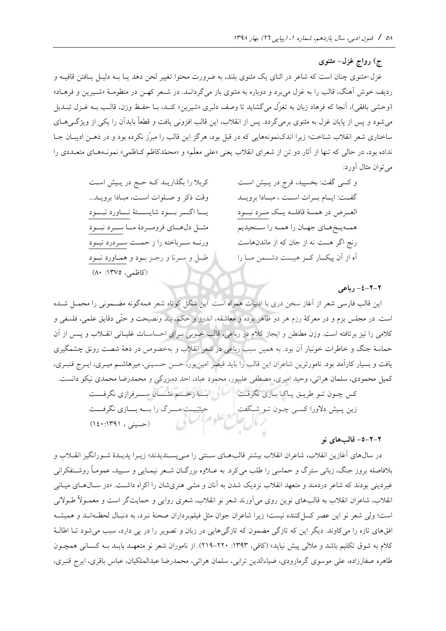**ج(رواجغزل- مثنوی**

غزل–مثنوی چنان است که شاعر در اثنای یک مثنوی بلند، به ضرورت محتوا تغییر لحن دهد یـا بــه دلیــل یــافتن قافیــه و ردیف خوش آهنگ، قالب را به غزل می برد و دوباره به مثنوی باز میگردانــد. در شــعر کهــن در منظومــهٔ «شــیرین و فرهــاد» (وحشی بافقی)، آنجا که فرهاد زبان به تغزّل میگشاید تا وصف دلبری «شیرین» کنـد، بـا حفـظ وزن، قالـب بـه غـزل تبـدیل می شود و پس از پایان غزل به مثنوی برمی گردد. پس از انقلاب، این قالب افزونی یافت و قطعاً بایدآن را یکی از ویژگی هـای ساختاری شعر انقلاب شناخت؛ زیرا اندک نمونههایی که در قبل بود، هرگز این قالب را مبرّز نکرده بود و در ذهـن ادیبـان جـا نداده بود، در حالی که تنها از آثار دو تن از شعرای انقلاب یعنی «علی معلّم» و «محمّدکاظم کـاظمی» نمونـههـای متعـددی را می توان مثال آورد:

و کسی گفت: بخسپید، فرج در پیش است گفت: ایام بوات است ، مبادا بروید الغــرض در همـــهٔ قافلـــه یـــک مـــرد نبـــود همهیخهای جهان را همه را سـنجیدیم رنج اگر هست نه از جان که از ماندنهاست آه از آن پیکار کر هیبت دشمن ما را کربلا را بگذاریـد کـه حـج در پـیش اسـت وقت ذکر و صلوات است، مبادا برویـد... یسا اگسر بسود شایسستهٔ نساورد نبسود مثـــل دلهــــای فرومـــردهٔ مـــا ســـرد نبـــود ورنــه ســرباخته را ز حمــت ســردرد نبــود طبـل و سـرنا و رجـز بـود و همـاورد نبـود (کاظمی، ۱۳۷۵: ۸۰)

**-4-2-2 رباعی**

این قالب فارسی شعر از آغاز سخن دری با ادبیات همراه است. این شکل کوتاه شعر همهگونه مضـمونی را محمـل شـده است. در مجلس بزم و در معرکهٔ رزم هر دو ظاهر بوده و معاشقه، اندرز و حکم، پند ونصیحت و حتّی دقایق علمی، فلسفی و کلامی را نیز برتافته است. وزن مطنطن و ایجاز کلام در رباعی، قالب خـوبی بـرای احساسـات غلیـانی انقــلاب و پــس از آن حماسهٔ جنگ و خاطرات خونبار آن بود. به همین سبب رباعی در شعر انقلاب و بهخصوص در دههٔ شصت رونق چشمگیری یافت و بسیار کارآمد بود. نامورترین شاعران این قالب را باید قیصر امینپور، حسن حسـینی، میرهاشـم میـری، ایـرج قنبـری، کمیل محمودی، سلمان هراتی، وحید امیری، مصطفی علیپور، محمود عباد، احد دهبزرگی و محمدرضا محمدی نیکو دانست. کس چـون تـو طریــق پــاک بــازی نگرفــت مسمع از خـــــم نشـــان ســـــرفرازی نگرفــــت زین پـیش دلاورا کسـی چـون تـو شـکفت حیثیّــت مـــرک را بــــه بـــازی نگرفـــت )حسینی ، 140:1391(

**-5-2-2 هاینوقالب**

در سال\$های آغازین انقلاب، شاعران انقلاب بیشتر قالبهـای سـنتی را مـیپسـندیدند؛ زیــرا پدیــدهٔ شــورانگیز انقــلاب و بلافاصله بروز جنگ، زبانی سترگ و حماسی را طلب می کرد. به عــلاوه بزرگــان شــعر نیمــایی و ســیید، عمومــأ روشــنفکرانی غیردینی بودند که شاعر دردمند و متعهد انقلاب نزدیک شدن به آنان و مشی هنریشان را اکراه داشت. «در سـال۵ـای میـانی انقالب، شاعران انقالب به قالبهای نوین روی میآورند شعر نو انقالب، شعری روایی و حمایتگر است و معمووال طووالنی است؛ ولی شعر نو این عصر کسل کننده نیست؛ زیرا شاعران جوان مثل فیلمبرداران صحنهٔ نبرد، به دنبـال لحظـهانــد و همیشــه افقهای تازه را می کاوند. دیگر این که تازگی مضمون که تازگیهایی در زبان و تصویر را در پی دارد، سبب می شود تـا اطالـهٔ کلام به شوق تکلیم باشد و ملالی پیش نیاید» (کافی، ۱۳۹۳: ۲۲۰-۲۱۹). از ناموران شعر نو متعهـد بایـد بـه کسـانی همچـون طاهره صفارزاده، علی موسوی گرمارودی، ضیاءالدین ترابی، سلمان هراتی، محمدرضا عبدالملکیان، عباس باقری، ایر قنبری،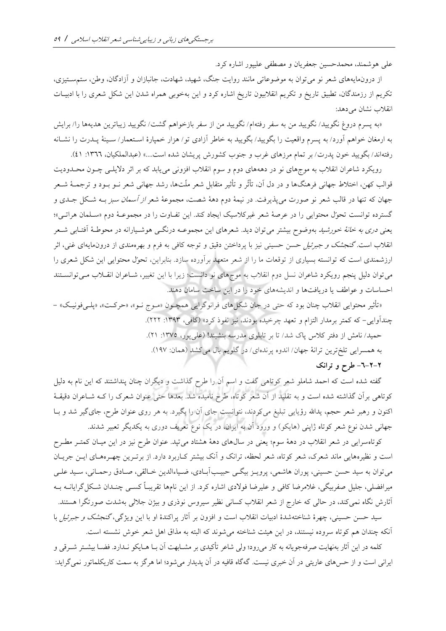علی هوشمند، محمدحسین جعفریان و مصطفی علیپور اشاره کرد

از درون،ایههای شعر نو می توان به موضوعاتی مانند روایت جنگ، شهید، شهادت، جانبازان و آزادگان، وطن، ستمسـتیزی، تکریم از رزمندگان، تطبیق تاریخ و تکریم انقلابیون تاریخ اشاره کرد و این بهخوبی همراه شدن این شکل شعری را با ادبیـات انقلاب نشان می دهد:

«به پسرم دروغ نگویید/ نگویید من به سفر رفته۱م/ نگویید من از سفر بازخواهم گشت/ نگویید زیباترین هدیهها را/ برایش به ارمغان خواهم آورد/ به پسرم واقعیت را بگویید/ بگویید به خاطر آزادی تو/ هزار خمپارهٔ اسـتعمار/ سـینهٔ پــدرت را نشــانه رفتهاند/ بگویید خون پدرت/ بر تمام مرزهای غرب و جنوب کشورش پریشان شده است....» (عبدالملکیان، ١٣٦٦: ٤١).

رویکرد شاعران انقلاب به موجهای نو در دهههای دوم و سوم انقلاب افزونی می یابد که بر اثر دلایلــی چــون محــدودیت قوالب کهن، اختلاط جهانی فرهنگها و در دل آن، تأثّر و تأثیر متقابل شعر ملّتها، رشد جهانی شعر نــو بــود و ترجمــهٔ شــعر جهان که تنها در قالب شعر نو صورت میپذیرفت. در نیمهٔ دوم دههٔ شصت، مجموعهٔ شعر *از آسمان سبز* بــه شـکل جــدی و گسترده توانست تحوّل محتوایی را در عرصهٔ شعر غیرکلاسیک ایجاد کند. این تفـاوت را در مجموعـهٔ دوم «سـلمان هراتـی»؛ یعن*ی دری به خانهٔ خورشید* بهوضوح بیشتر می توان دید. شعرهای این مجموعـه درنگــی هوشــیارانه در محوطـهٔ آفتــابی شــعر انقلاب است. *گنجشک و جبرئیل ح*سن حسینی نیز با پرداختن دقیق و توجه کافی به فرم و بهرهمندی از درونمایهای غنی، اثر ارزشمندی است که توانسته بسیاری از توقعات ما را از شعر متعهد برآورده سازد بنابراین، تحوّل محتوایی این شک شعری را می توان دلیل پنجم رویکرد شاعران نسل دوم انقلاب به موجهای نو دانست؛ زیرا با این تغییر، شـاعران انقــلاب مــی توانســتند احساسات و عواطف یا دریافتها و اندیشههای خود را در این ساخت سامان دهند.

«تأثیر محتوایی انقلاب چنان بود که حتی در جان شکل های فرانوگرایی همچـون «مـوج نـو»، «حرکـت»، «پلـیفونیـک» – چندآوایی- که کمتر برمدار التزام و تعهد چرخیده بودند، نیز نفوذ کرد» (کافی، ۱۳۹۳: ۲۲۲). حمید/ نامش از دفتر کلاس پاک شد/ تا بر تابلوی مدرسه بنشیند! (علی پور، ۱۳۷۵: ۲۱). به همسرایی تلخترین ترانهٔ جهان/ اندوه پرندهای/ در گلویم بال میکشد (همان: ۱۹۷). **-6-2-2 انکطرحوتر**

گفته شده است که احمد شاملو شعر کوتاهی گفت و اسم آن را طرح گذاشت و دیگران چنان پنداشتند که این نام به دلی کوتاهی برآن گذاشته شده است و به تقلید از آن شعر کوتاه، طرح نامیده شد. بعدها حتی عنوان شعرک را کـه شــاعران دقیقـهٔ اکنون و رهبر شعر حجم، یدالله رؤیایی تبلیغ میکردند، نتوانست جای آن را بگیرد. به هر روی عنوان طرح، جایگیر شد و بـا جهانی شدن نوع شعر کوتاه ژاپنی (هایکو) و ورود آن به ایران، در یک نوع تعریف دوری به یکدیگر تعبیر شدند.

کوتاهسرایی در شعر انقلاب در دههٔ سوم؛ یعنی در سال\$عای دههٔ هشتاد میتپد. عنوان طرح نیز در این میـان کمتـر مطـرح است و نظیرههایی ماند شعرک، شعر کوتاه، شعر لحظه، ترانک و آنک بیشتر کـاربرد دارد. از برتـرین چهـرههـای ایـن جریـان میتوان به سید حسن حسینی، پوران هاشمی، پرویـز بیگـی حبیـبآبـادی، ضـیاءالدین خـالقی، صـادق رحمـانی، سـید علـی میرافضلی، جلیل صفربیگی، غلامرضا کافی و علیرضا فولادی اشاره کرد. از این نامها تقریبـاً کسـی چنـدان شـکل گرایانــه بــه آثارش نگاه نمیکند، در حالی که خارج از شعر انقلاب کسانی نظیر سیروس نوذری و بیژن جلالی بهشدت صورتگرا هستند.

سید حسن حسینی، چهرهٔ شناختهشدهٔ ادبیات انقلاب است و افزون بر آثار پراکندهٔ او با این ویژگی، *گنجشک و جبرئیل* با آنکه چندان هم کوتاه سروده نیستند، در این هیئت شناخته می شوند که البته به مذاق اهل شعر خوش نشسته است.

کلمه در این آثار بهنهایت صرفهجویانه به کار می رود؛ ولی شاعر تأکیدی بر مشــابهت آن بــا هــایکو نــدارد. فضــا بیشــتر شــرقی و ایرانی است و از حس۵ای عاریتی در آن خبری نیست. گهگاه قافیه در آن پدیدار میشود؛ اما هرگز به سمت کاریکلماتور نمیگراید: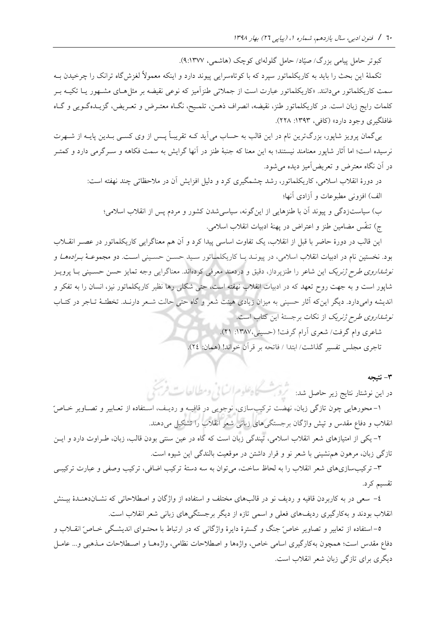کبوتر حامل پیامی بزرگ/ صیّاد/ حامل گلولهای کوچک (هاشمی، ۹:۱۳۷۷).

تکملهٔ این بحث را باید به کاریکلماتور سپرد که با کوتاهسرایی پیوند دارد و اینکه معمولاً لغزش گاه ترانک را چرخیدن بـه سمت کاریکلماتور میدانند. «کاریکلماتور عبارت است از جملاتی طنزآمیز که نوعی نقیضه بر مثل هـای مشـهور یـا تکیــه بـر کلمات رایج زبان است. در کاریکلماتور طنز، نقیضه، انصراف ذهـن، تلمـیح، نگـاه معتـرض و تعـریض، گزیــدهگـویی و گـاه غافلگیری وجود دارد» (کافی، ۱۳۹۳: ۲۲۸).

بی گمان پرویز شاپور، بزرگترین نام در این قالب به حساب می آید کـه تقریبـاً پــس از وی کســی بــدین پایــه از شــهرت نرسیده است؛ اما آثار شاپور معنامند نیستند؛ به این معنا که جنبهٔ طنز در آنها گرایش به سمت فکاهه و سـرگرمی دارد و کمتـر در آن نگاه معترض و تعریضآمیز دیده میشود.

> در دورهٔ انقلاب اسلامی، کاریکلماتور، رشد چشمگیری کرد و دلیل افزایش آن در ملاحظاتی چند نهفته است: الف) افزونی مطبوعات و آزادی آنها؛

ب) سیاستزدگی و پیوند آن با طنزهایی از این گونه، سیاسی شدن کشور و مردم پس از انقلاب اسلامی؛ ج) تنفّس مضامین طنز و اعتراض در پهنهٔ ادبیات انقلاب اسلامی.

این قالب در دورهٔ حاضر با قبل از انقلاب، یک تفاوت اساسی پیدا کرد و آن هم معناگرایی کاریکلماتور در عصـر انقــلاب بود. نخستین نام در ادبیات انقلاب اسلامی، در پیونـد بـا کاریکلمـاتور سـید حســن حسـینی اسـت. دو مجموعــهٔ *بـرادههـا* و *نوشداروی طرح ژنریک* این شاعر را طنزپرداز، دقیق و دردمند معرفی کردهاند. معناگرایی وجه تمایز حسن حسـینی بـا پرویـز شاپور است و به جهت روح تعهد که در ادبیات انقالب نهفته است، حتی شکلی رها نظیر کاریکلماتور نی ، انسان را به تفکر و اندیشه وامی دارد. دیگر این که آثار حسینی به میزان زیادی هیئت شعر و گاه حتی حالت شـعر دارنـد. تخطئـهٔ تـاجر در کتـاب *نوشداروی طرح ژنریک* از نکات برجستهٔ این کتاب است.

> شاعری وام گرفت/ شعری آرام گرفت! )حسینی:1387، 21( تاجری مجلس تفسیر گذاشت/ ابتدا / فاتحه بر قرآن خواند! )همان: 24(

> > **-3 نت يجه**

در این نوشتار نتایج زیر حاصل شد: سطیق منظمان است از تصریح است قریبا

1- محورهایی چون تازگی زبان، نهضت ترکیبسازی، نوجویی در قافیـه و ردیـف، اسـتفاده از تعـابیر و تصـاویر خــاصرّ انقلاب و دفاع مقدس و تپش واژگان برجستگیهای زبانی شعر انقلاب را تشکیل میدهند.

-2 یکی از امتیازهای شعر انقالب اسالمی، تپندگی زبان است که گاه در عین سنتی بودن قالب، زبان، طوراوت دارد و ایون تازگی زبان، مرهون همنشینی با شعر نو و قرار داشتن در موقعیت بالندگی این شیوه است

۳- ترکیبسازیهای شعر انقلاب را به لحاظ ساخت، میتوان به سه دستهٔ ترکیب اضافی، ترکیب وصفی و عبارت ترکیبی تقسیم کرد

-4 سعی در به کاربردن قافیه و ردی نو در قالبهای مختل و استفاده از واژگان و اصطالحاتی که نشوان دهنود بیونش انقلاب بودند و بهکارگیری ردیفهای فعلی و اسمی تازه از دیگر برجستگیهای زبانی شعر انقلاب است.

6-استفاده از تعابیر و تصاویر خاصّ جنگ و گسترهٔ دایرهٔ واژگانی که در ارتباط با محتـوای اندیشـگی خـاصّ انقــلاب و دفاع مقدس است؛ همچون بهکارگیری اسامی خاص، واژهها و اصطلاحات نظامی، واژههـا و اصـطلاحات مـذهبی و… عامــل دیگری برای تازگی زبان شعر انقالب است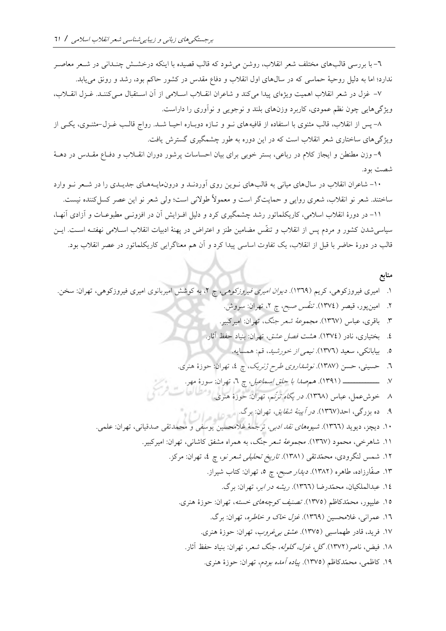-6 با بررسی قالبهای مختل شعر انقالب، روشن میشود که قالب قصیده با اینکه درخشوش چنودانی در شوعر معاصور ندارد؛ اما به دلیل روحیهٔ حماسی که در سالهای اول انقلاب و دفاع مقدس در کشور حاکم بود، رشد و رونق می یابد.

7- غزل در شعر انقلاب اهمیت ویژهای پیدا میکند و شاعران انقیلاب اسپلامی از آن استقبال می کننید. غـزل انقیلاب، ویژگیهایی چون نظم عمودی، کاربرد وزنهای بلند و نوجویی و نوآوری را داراست

۸- پس از انقلاب، قالب مثنوی با استفاده از قافیههای نـو و تـازه دوبـاره احیـا شـد. رواج قالـب غـزل-مثنـوی، یکـی از یژگیو های ساختاری شعر انقالب است که در این دوره به طور چشمگیری گسترش یافت

-9 وزن مطنطن و ایجاز کالم در رباعی، بستر خوبی برای بیان احساسات پرشور دوران انقوالب و دفواع مقودس در دهوة شصت بود

-۱۰- شاعران انقلاب در سال های میانی به قالب های نـوین روی آوردنـد و درون.مایـههـای جدیـدی را در شـعر نـو وارد ساختند. شعر نو انقلاب، شعری روایی و حمایتگر است و معمولاً طولانی است؛ ولی شعر نو این عصر کسل کننده نیست.

11- در دورهٔ انقلاب اسلامی، کاریکلماتور رشد چشمگیری کرد و دلیل افـزایش آن در افزونـی مطبوعـات و آزادی آنهـا، سیاسی شدن کشور و مردم پس از انقلاب و تنفّس مضامین طنز و اعتراض در پهنهٔ ادبیات انقلاب اسـلامی نهفتـه اسـت. ایــن قالب در دورهٔ حاضر با قبل از انقلاب، یک تفاوت اساسی پیدا کرد و آن هم معناگرایی کاریکلماتور در عصر انقلاب بود.

**منابع**

 1 امیری فیروزکوهی، کریم )1369( دیوان امیری فیروزکوهی، ،2 به کوشش امیربانوی امیری فیروزکوهی، تهران: سخن 2 امینپور، قیصر )1374( تنفیس صب،، چ ،2 تهران: سروش 3 باقری، عباس )1367( مجموعة شعر جنگ، تهران: امیرکبیر 4 بختیاری، نادر )1374( هشت فص عش ، تهران: بنیاد حفظ آثار 5 بیابانکی، سعید )1376( نیمی از خورشید، قم: همسایه 6 حسینی، حسن )1387( نوشداروی طرح ژنریک، چ ،4 تهران: حوز هنری 7 ووووووووووووو )1391( همصدا با حل اسماعی ، چ ،6 تهران: سور مهر 8 خوشعم ، عباس )1368( در پگاه ترنیم، تهران: حوز هنری 9 ده ب رگی، احد)1367( در آیینة شقای ، تهران: برگ 10 دیچ ، دیوید )1366( شیوههای نقد ادبی، ترجمة زالمحسین یوسفی و محمدتقی صدقیانی، تهران: علمی 11 شاهرخی، محمود )1367( مجموعة شعر جنگ، به همراه مشف کاشانی، تهران: امیرکبیر 12 شمس لنگرودی، محمّدتقی )1381( تاریخ تحلیلی شعر نو، چ ،4 تهران: مرک 13 صفیارزاده، طاهره )1382( دیدار صب،، چ ،5 تهران: کتاب شیراز 14 عبدالملکیان، محمّدرضا )1366( ریشه در ابر، تهران: برگ 15 علیپور، محمّدکاوم )1375( تصنی کوچههای خسته، تهران: حوز هنری 16 عمرانی، زالمحسین )1369( ز ل خاک <sup>و</sup> خاطره، تهران: برگ 17 فرید، قادر طهماسبی )1375( عش بیزروب، تهران: حوز هنری 18 فیض، ناصر)1372( گ ، ز ل، گلوله، جنگ شعر، تهران: بنیاد حفظ آثار 19 کاومی، محمّدکاوم )1375( پیاده آمده بودم، تهران: حوز هنری